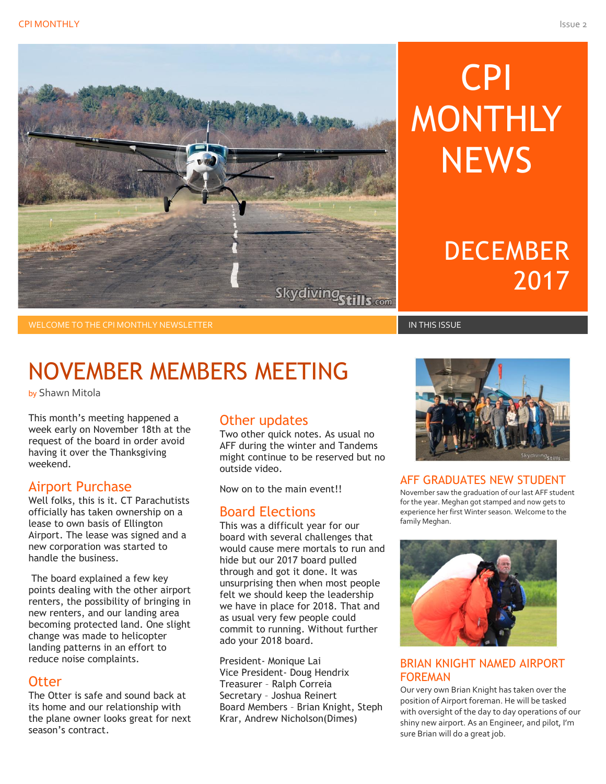

# CPI MONTHLY **NEWS**

# **DECEMBER** 2017

WELCOME TO THE CPI MONTHLY NEWSLETTER IN THIS ISSUE IN THIS ISSUE IN THIS ISSUE IN THIS ISSUE

# NOVEMBER MEMBERS MEETING

by Shawn Mitola

This month's meeting happened a week early on November 18th at the request of the board in order avoid having it over the Thanksgiving weekend.

#### Airport Purchase

Well folks, this is it. CT Parachutists officially has taken ownership on a lease to own basis of Ellington Airport. The lease was signed and a new corporation was started to handle the business.

The board explained a few key points dealing with the other airport renters, the possibility of bringing in new renters, and our landing area becoming protected land. One slight change was made to helicopter landing patterns in an effort to reduce noise complaints.

#### **Otter**

The Otter is safe and sound back at its home and our relationship with the plane owner looks great for next season's contract.

#### Other updates

Two other quick notes. As usual no AFF during the winter and Tandems might continue to be reserved but no outside video.

Now on to the main event!!

#### Board Elections

This was a difficult year for our board with several challenges that would cause mere mortals to run and hide but our 2017 board pulled through and got it done. It was unsurprising then when most people felt we should keep the leadership we have in place for 2018. That and as usual very few people could commit to running. Without further ado your 2018 board.

President- Monique Lai Vice President- Doug Hendrix Treasurer – Ralph Correia Secretary – Joshua Reinert Board Members – Brian Knight, Steph Krar, Andrew Nicholson(Dimes)



#### AFF GRADUATES NEW STUDENT

November saw the graduation of our last AFF student for the year. Meghan got stamped and now gets to experience her first Winter season. Welcome to the family Meghan.



#### BRIAN KNIGHT NAMED AIRPORT FOREMAN

Our very own Brian Knight has taken over the position of Airport foreman. He will be tasked with oversight of the day to day operations of our shiny new airport. As an Engineer, and pilot, I'm sure Brian will do a great job.